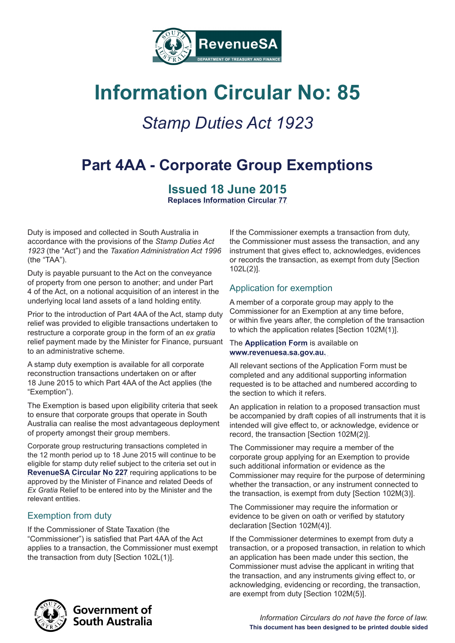

# **Information Circular No: 85**

## *Stamp Duties Act 1923*

## **Part 4AA - Corporate Group Exemptions**

## **Issued 18 June 2015**

**Replaces Information Circular 77**

Duty is imposed and collected in South Australia in accordance with the provisions of the *Stamp Duties Act 1923* (the "Act") and the *Taxation Administration Act 1996* (the "TAA").

Duty is payable pursuant to the Act on the conveyance of property from one person to another; and under Part 4 of the Act, on a notional acquisition of an interest in the underlying local land assets of a land holding entity.

Prior to the introduction of Part 4AA of the Act, stamp duty relief was provided to eligible transactions undertaken to restructure a corporate group in the form of an *ex gratia*  relief payment made by the Minister for Finance, pursuant to an administrative scheme.

A stamp duty exemption is available for all corporate reconstruction transactions undertaken on or after 18 June 2015 to which Part 4AA of the Act applies (the "Exemption").

The Exemption is based upon eligibility criteria that seek to ensure that corporate groups that operate in South Australia can realise the most advantageous deployment of property amongst their group members.

Corporate group restructuring transactions completed in the 12 month period up to 18 June 2015 will continue to be eligible for stamp duty relief subject to the criteria set out in **RevenueSA Circular No 227** requiring applications to be approved by the Minister of Finance and related Deeds of *Ex Gratia* Relief to be entered into by the Minister and the relevant entities.

## Exemption from duty

If the Commissioner of State Taxation (the "Commissioner") is satisfied that Part 4AA of the Act applies to a transaction, the Commissioner must exempt the transaction from duty [Section 102L(1)].

If the Commissioner exempts a transaction from duty, the Commissioner must assess the transaction, and any instrument that gives effect to, acknowledges, evidences or records the transaction, as exempt from duty [Section 102L(2)].

## Application for exemption

A member of a corporate group may apply to the Commissioner for an Exemption at any time before, or within five years after, the completion of the transaction to which the application relates [Section 102M(1)].

#### The **Application Form** is available on **www.revenuesa.sa.gov.au.**

All relevant sections of the Application Form must be completed and any additional supporting information requested is to be attached and numbered according to the section to which it refers.

An application in relation to a proposed transaction must be accompanied by draft copies of all instruments that it is intended will give effect to, or acknowledge, evidence or record, the transaction [Section 102M(2)].

The Commissioner may require a member of the corporate group applying for an Exemption to provide such additional information or evidence as the Commissioner may require for the purpose of determining whether the transaction, or any instrument connected to the transaction, is exempt from duty [Section 102M(3)].

The Commissioner may require the information or evidence to be given on oath or verified by statutory declaration [Section 102M(4)].

If the Commissioner determines to exempt from duty a transaction, or a proposed transaction, in relation to which an application has been made under this section, the Commissioner must advise the applicant in writing that the transaction, and any instruments giving effect to, or acknowledging, evidencing or recording, the transaction, are exempt from duty [Section 102M(5)].

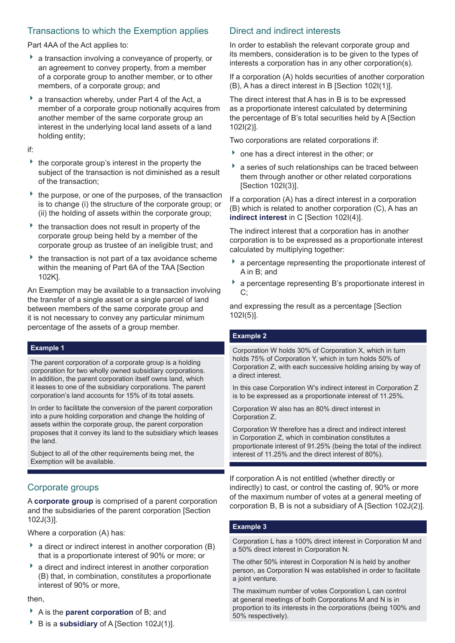### Transactions to which the Exemption applies

Part 4AA of the Act applies to:

- a transaction involving a conveyance of property, or an agreement to convey property, from a member of a corporate group to another member, or to other members, of a corporate group; and
- a transaction whereby, under Part 4 of the Act, a member of a corporate group notionally acquires from another member of the same corporate group an interest in the underlying local land assets of a land holding entity;

if:

- the corporate group's interest in the property the subject of the transaction is not diminished as a result of the transaction;
- $\rightarrow$  the purpose, or one of the purposes, of the transaction is to change (i) the structure of the corporate group; or (ii) the holding of assets within the corporate group;
- $\rightarrow$  the transaction does not result in property of the corporate group being held by a member of the corporate group as trustee of an ineligible trust; and
- $\rightarrow$  the transaction is not part of a tax avoidance scheme within the meaning of Part 6A of the TAA [Section] 102K].

An Exemption may be available to a transaction involving the transfer of a single asset or a single parcel of land between members of the same corporate group and it is not necessary to convey any particular minimum percentage of the assets of a group member.

#### **Example 1**

The parent corporation of a corporate group is a holding corporation for two wholly owned subsidiary corporations. In addition, the parent corporation itself owns land, which it leases to one of the subsidiary corporations. The parent corporation's land accounts for 15% of its total assets.

In order to facilitate the conversion of the parent corporation into a pure holding corporation and change the holding of assets within the corporate group, the parent corporation proposes that it convey its land to the subsidiary which leases the land.

Subject to all of the other requirements being met, the Exemption will be available.

## Corporate groups

A **corporate group** is comprised of a parent corporation and the subsidiaries of the parent corporation [Section 102J(3)].

Where a corporation (A) has:

- $\bullet$  a direct or indirect interest in another corporation (B) that is a proportionate interest of 90% or more; or
- a direct and indirect interest in another corporation (B) that, in combination, constitutes a proportionate interest of 90% or more,

#### then,

- A is the **parent corporation** of B; and
- ▶ B is a **subsidiary** of A [Section 102J(1)].

### Direct and indirect interests

In order to establish the relevant corporate group and its members, consideration is to be given to the types of interests a corporation has in any other corporation(s).

If a corporation (A) holds securities of another corporation (B), A has a direct interest in B [Section 102I(1)].

The direct interest that A has in B is to be expressed as a proportionate interest calculated by determining the percentage of B's total securities held by A [Section 102I(2)].

Two corporations are related corporations if:

- one has a direct interest in the other; or
- a series of such relationships can be traced between them through another or other related corporations [Section 102I(3)].

If a corporation (A) has a direct interest in a corporation (B) which is related to another corporation (C), A has an **indirect interest** in C [Section 102I(4)].

The indirect interest that a corporation has in another corporation is to be expressed as a proportionate interest calculated by multiplying together:

- a percentage representing the proportionate interest of A in B; and
- a percentage representing B's proportionate interest in  $C$ ;

and expressing the result as a percentage [Section 102I(5)].

#### **Example 2**

Corporation W holds 30% of Corporation X, which in turn holds 75% of Corporation Y, which in turn holds 50% of Corporation Z, with each successive holding arising by way of a direct interest.

In this case Corporation W's indirect interest in Corporation Z is to be expressed as a proportionate interest of 11.25%.

Corporation W also has an 80% direct interest in Corporation Z.

Corporation W therefore has a direct and indirect interest in Corporation Z, which in combination constitutes a proportionate interest of 91.25% (being the total of the indirect interest of 11.25% and the direct interest of 80%).

If corporation A is not entitled (whether directly or indirectly) to cast, or control the casting of, 90% or more of the maximum number of votes at a general meeting of corporation B, B is not a subsidiary of A [Section 102J(2)].

#### **Example 3**

Corporation L has a 100% direct interest in Corporation M and a 50% direct interest in Corporation N.

The other 50% interest in Corporation N is held by another person, as Corporation N was established in order to facilitate a joint venture.

The maximum number of votes Corporation L can control at general meetings of both Corporations M and N is in proportion to its interests in the corporations (being 100% and 50% respectively).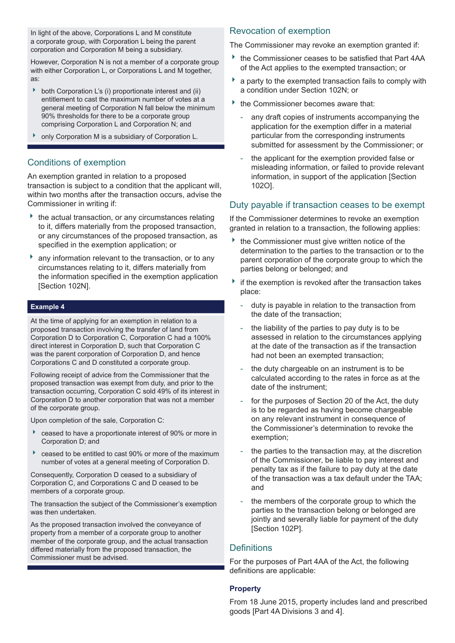In light of the above, Corporations L and M constitute a corporate group, with Corporation L being the parent corporation and Corporation M being a subsidiary.

However, Corporation N is not a member of a corporate group with either Corporation L, or Corporations L and M together, as:

- both Corporation L's (i) proportionate interest and (ii) entitlement to cast the maximum number of votes at a general meeting of Corporation N fall below the minimum 90% thresholds for there to be a corporate group comprising Corporation L and Corporation N; and
- only Corporation M is a subsidiary of Corporation L.

#### Conditions of exemption

An exemption granted in relation to a proposed transaction is subject to a condition that the applicant will, within two months after the transaction occurs, advise the Commissioner in writing if:

- $\rightarrow$  the actual transaction, or any circumstances relating to it, differs materially from the proposed transaction, or any circumstances of the proposed transaction, as specified in the exemption application; or
- **h** any information relevant to the transaction, or to any circumstances relating to it, differs materially from the information specified in the exemption application [Section 102N].

#### **Example 4**

At the time of applying for an exemption in relation to a proposed transaction involving the transfer of land from Corporation D to Corporation C, Corporation C had a 100% direct interest in Corporation D, such that Corporation C was the parent corporation of Corporation D, and hence Corporations C and D constituted a corporate group.

Following receipt of advice from the Commissioner that the proposed transaction was exempt from duty, and prior to the transaction occurring, Corporation C sold 49% of its interest in Corporation D to another corporation that was not a member of the corporate group.

Upon completion of the sale, Corporation C:

- ceased to have a proportionate interest of 90% or more in Corporation D; and
- ceased to be entitled to cast 90% or more of the maximum number of votes at a general meeting of Corporation D.

Consequently, Corporation D ceased to a subsidiary of Corporation C, and Corporations C and D ceased to be members of a corporate group.

The transaction the subject of the Commissioner's exemption was then undertaken.

As the proposed transaction involved the conveyance of property from a member of a corporate group to another member of the corporate group, and the actual transaction differed materially from the proposed transaction, the Commissioner must be advised.

#### Revocation of exemption

The Commissioner may revoke an exemption granted if:

- the Commissioner ceases to be satisfied that Part 4AA of the Act applies to the exempted transaction; or
- a party to the exempted transaction fails to comply with a condition under Section 102N; or
- the Commissioner becomes aware that:
- any draft copies of instruments accompanying the application for the exemption differ in a material particular from the corresponding instruments submitted for assessment by the Commissioner; or
- the applicant for the exemption provided false or misleading information, or failed to provide relevant information, in support of the application [Section 102O].

#### Duty payable if transaction ceases to be exempt

If the Commissioner determines to revoke an exemption granted in relation to a transaction, the following applies:

- $\rightarrow$  the Commissioner must give written notice of the determination to the parties to the transaction or to the parent corporation of the corporate group to which the parties belong or belonged; and
- $\rightarrow$  if the exemption is revoked after the transaction takes place:
	- duty is payable in relation to the transaction from the date of the transaction;
	- the liability of the parties to pay duty is to be assessed in relation to the circumstances applying at the date of the transaction as if the transaction had not been an exempted transaction;
	- the duty chargeable on an instrument is to be calculated according to the rates in force as at the date of the instrument;
	- for the purposes of Section 20 of the Act, the duty is to be regarded as having become chargeable on any relevant instrument in consequence of the Commissioner's determination to revoke the exemption;
	- the parties to the transaction may, at the discretion of the Commissioner, be liable to pay interest and penalty tax as if the failure to pay duty at the date of the transaction was a tax default under the TAA; and
	- the members of the corporate group to which the parties to the transaction belong or belonged are jointly and severally liable for payment of the duty [Section 102P].

#### **Definitions**

For the purposes of Part 4AA of the Act, the following definitions are applicable:

#### **Property**

From 18 June 2015, property includes land and prescribed goods [Part 4A Divisions 3 and 4].